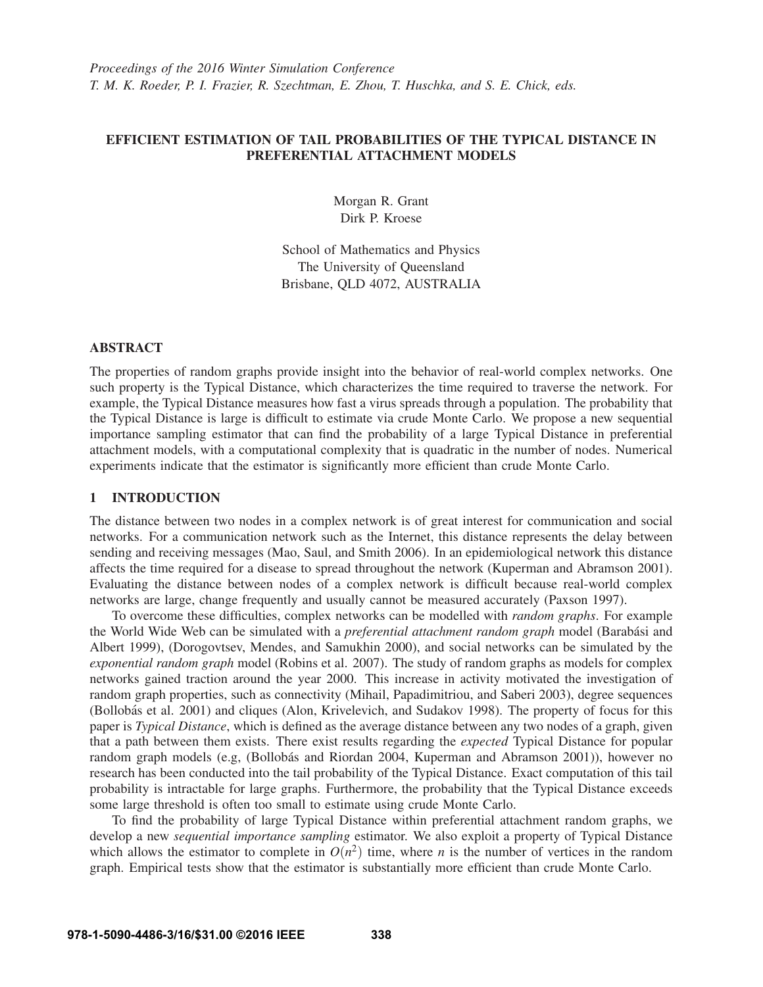# EFFICIENT ESTIMATION OF TAIL PROBABILITIES OF THE TYPICAL DISTANCE IN PREFERENTIAL ATTACHMENT MODELS

Morgan R. Grant Dirk P. Kroese

School of Mathematics and Physics The University of Queensland Brisbane, QLD 4072, AUSTRALIA

## ABSTRACT

The properties of random graphs provide insight into the behavior of real-world complex networks. One such property is the Typical Distance, which characterizes the time required to traverse the network. For example, the Typical Distance measures how fast a virus spreads through a population. The probability that the Typical Distance is large is difficult to estimate via crude Monte Carlo. We propose a new sequential importance sampling estimator that can find the probability of a large Typical Distance in preferential attachment models, with a computational complexity that is quadratic in the number of nodes. Numerical experiments indicate that the estimator is significantly more efficient than crude Monte Carlo.

### 1 INTRODUCTION

The distance between two nodes in a complex network is of great interest for communication and social networks. For a communication network such as the Internet, this distance represents the delay between sending and receiving messages (Mao, Saul, and Smith 2006). In an epidemiological network this distance affects the time required for a disease to spread throughout the network (Kuperman and Abramson 2001). Evaluating the distance between nodes of a complex network is difficult because real-world complex networks are large, change frequently and usually cannot be measured accurately (Paxson 1997).

To overcome these difficulties, complex networks can be modelled with *random graphs*. For example the World Wide Web can be simulated with a *preferential attachment random graph* model (Barabási and Albert 1999), (Dorogovtsev, Mendes, and Samukhin 2000), and social networks can be simulated by the *exponential random graph* model (Robins et al. 2007). The study of random graphs as models for complex networks gained traction around the year 2000. This increase in activity motivated the investigation of random graph properties, such as connectivity (Mihail, Papadimitriou, and Saberi 2003), degree sequences (Bollobas et al. 2001) and cliques (Alon, Krivelevich, and Sudakov 1998). The property of focus for this ´ paper is *Typical Distance*, which is defined as the average distance between any two nodes of a graph, given that a path between them exists. There exist results regarding the *expected* Typical Distance for popular random graph models (e.g, (Bollobás and Riordan 2004, Kuperman and Abramson 2001)), however no research has been conducted into the tail probability of the Typical Distance. Exact computation of this tail probability is intractable for large graphs. Furthermore, the probability that the Typical Distance exceeds some large threshold is often too small to estimate using crude Monte Carlo.

To find the probability of large Typical Distance within preferential attachment random graphs, we develop a new *sequential importance sampling* estimator. We also exploit a property of Typical Distance which allows the estimator to complete in  $O(n^2)$  time, where *n* is the number of vertices in the random graph. Empirical tests show that the estimator is substantially more efficient than crude Monte Carlo.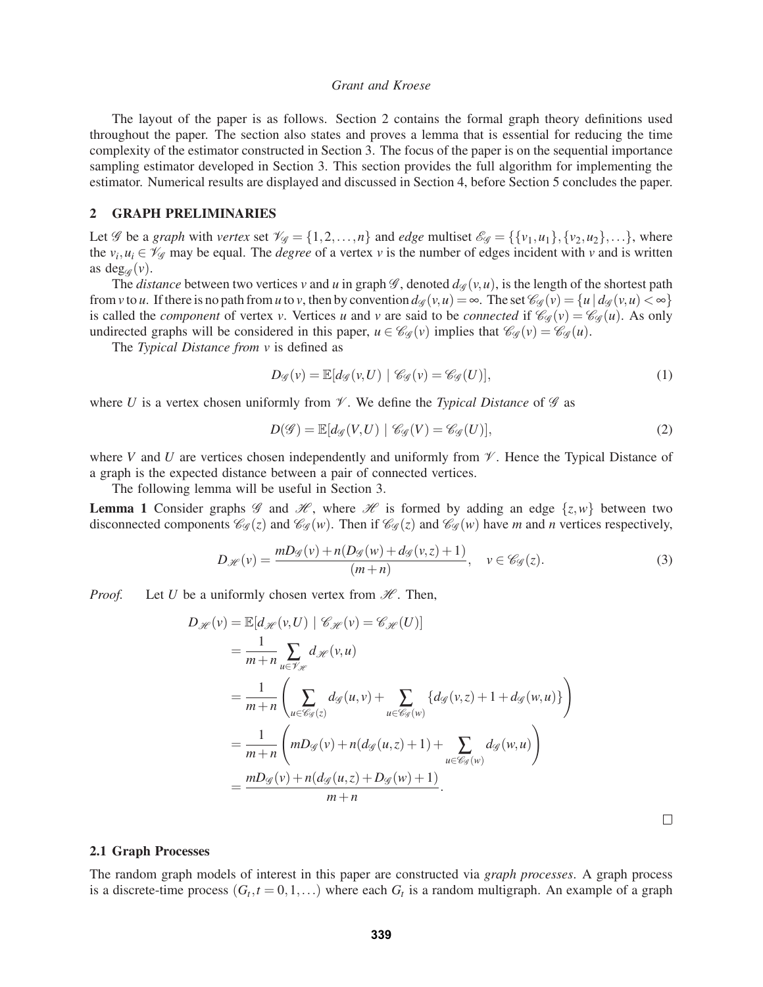The layout of the paper is as follows. Section 2 contains the formal graph theory definitions used throughout the paper. The section also states and proves a lemma that is essential for reducing the time complexity of the estimator constructed in Section 3. The focus of the paper is on the sequential importance sampling estimator developed in Section 3. This section provides the full algorithm for implementing the estimator. Numerical results are displayed and discussed in Section 4, before Section 5 concludes the paper.

#### 2 GRAPH PRELIMINARIES

Let *G* be a *graph* with *vertex* set  $\mathcal{V}_{\mathcal{G}} = \{1, 2, ..., n\}$  and *edge* multiset  $\mathcal{E}_{\mathcal{G}} = \{\{v_1, u_1\}, \{v_2, u_2\}, ...\}$ , where the  $v_i, u_i \in \mathcal{V}_{\mathscr{G}}$  may be equal. The *degree* of a vertex *v* is the number of edges incident with *v* and is written as deg<sub> $\mathscr{C}(v)$ </sub>.

The *distance* between two vertices *v* and *u* in graph  $\mathcal{G}$ , denoted  $d_{\mathcal{G}}(v, u)$ , is the length of the shortest path from *v* to *u*. If there is no path from *u* to *v*, then by convention  $d_g(v, u) = \infty$ . The set  $\mathcal{C}_g(v) = \{u \mid d_g(v, u) < \infty\}$ is called the *component* of vertex *v*. Vertices *u* and *v* are said to be *connected* if  $\mathcal{C}_{\mathscr{G}}(v) = \mathcal{C}_{\mathscr{G}}(u)$ . As only undirected graphs will be considered in this paper,  $u \in \mathcal{C}_{\mathcal{G}}(v)$  implies that  $\mathcal{C}_{\mathcal{G}}(v) = \mathcal{C}_{\mathcal{G}}(u)$ .

The *Typical Distance from v* is defined as

$$
D_{\mathscr{G}}(v) = \mathbb{E}[d_{\mathscr{G}}(v, U) | \mathscr{C}_{\mathscr{G}}(v) = \mathscr{C}_{\mathscr{G}}(U)], \qquad (1)
$$

where *U* is a vertex chosen uniformly from  $\mathcal V$ . We define the *Typical Distance* of  $\mathcal G$  as

$$
D(\mathcal{G}) = \mathbb{E}[d_{\mathcal{G}}(V, U) | \mathcal{C}_{\mathcal{G}}(V) = \mathcal{C}_{\mathcal{G}}(U)],
$$
\n(2)

where *V* and *U* are vertices chosen independently and uniformly from  $\mathcal V$ . Hence the Typical Distance of a graph is the expected distance between a pair of connected vertices.

The following lemma will be useful in Section 3.

**Lemma 1** Consider graphs  $\mathscr G$  and  $\mathscr H$ , where  $\mathscr H$  is formed by adding an edge  $\{z, w\}$  between two disconnected components  $\mathcal{C}_{\mathcal{G}}(z)$  and  $\mathcal{C}_{\mathcal{G}}(w)$ . Then if  $\mathcal{C}_{\mathcal{G}}(z)$  and  $\mathcal{C}_{\mathcal{G}}(w)$  have *m* and *n* vertices respectively,

$$
D_{\mathcal{H}}(v) = \frac{mD_{\mathcal{G}}(v) + n(D_{\mathcal{G}}(w) + d_{\mathcal{G}}(v, z) + 1)}{(m+n)}, \quad v \in \mathcal{C}_{\mathcal{G}}(z).
$$
 (3)

*Proof.* Let *U* be a uniformly chosen vertex from  $H$ . Then,

$$
D_{\mathcal{H}}(v) = \mathbb{E}[d_{\mathcal{H}}(v,U) | \mathcal{C}_{\mathcal{H}}(v) = \mathcal{C}_{\mathcal{H}}(U)]
$$
  
\n
$$
= \frac{1}{m+n} \sum_{u \in \mathcal{V}_{\mathcal{H}}} d_{\mathcal{H}}(v,u)
$$
  
\n
$$
= \frac{1}{m+n} \left( \sum_{u \in \mathcal{C}_{\mathcal{G}}(z)} d_{\mathcal{G}}(u,v) + \sum_{u \in \mathcal{C}_{\mathcal{G}}(w)} \{d_{\mathcal{G}}(v,z) + 1 + d_{\mathcal{G}}(w,u)\} \right)
$$
  
\n
$$
= \frac{1}{m+n} \left( mD_{\mathcal{G}}(v) + n(d_{\mathcal{G}}(u,z) + 1) + \sum_{u \in \mathcal{C}_{\mathcal{G}}(w)} d_{\mathcal{G}}(w,u) \right)
$$
  
\n
$$
= \frac{mD_{\mathcal{G}}(v) + n(d_{\mathcal{G}}(u,z) + D_{\mathcal{G}}(w) + 1)}{m+n}.
$$

 $\Box$ 

#### 2.1 Graph Processes

The random graph models of interest in this paper are constructed via *graph processes*. A graph process is a discrete-time process  $(G_t, t = 0, 1, ...)$  where each  $G_t$  is a random multigraph. An example of a graph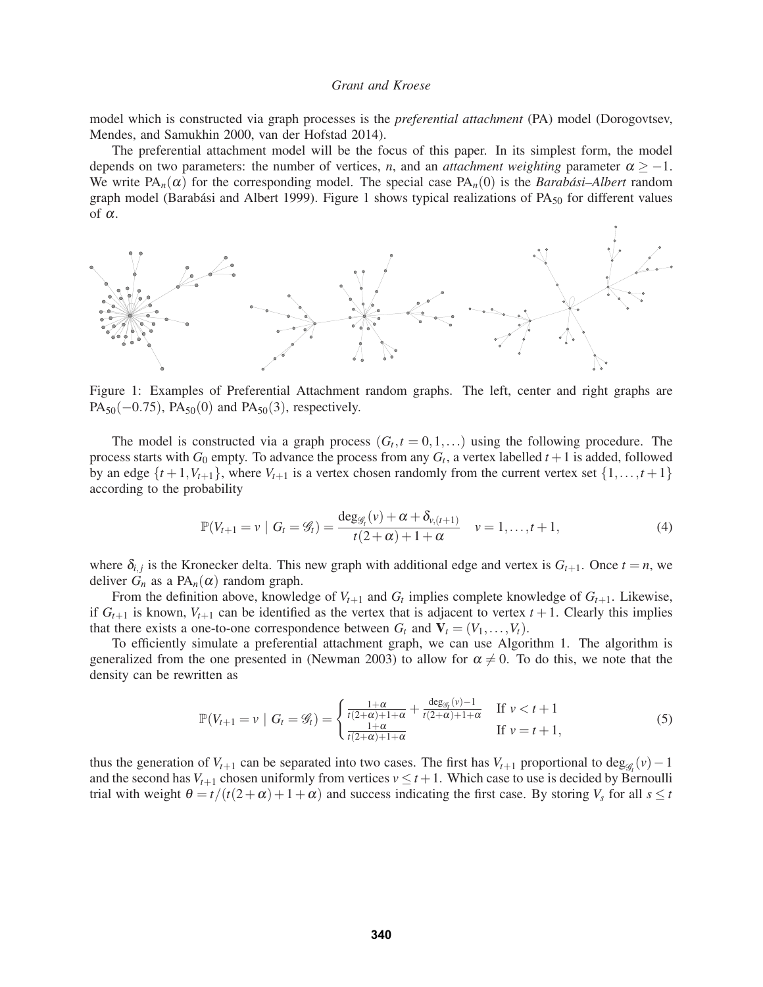model which is constructed via graph processes is the *preferential attachment* (PA) model (Dorogovtsev, Mendes, and Samukhin 2000, van der Hofstad 2014).

The preferential attachment model will be the focus of this paper. In its simplest form, the model depends on two parameters: the number of vertices, *n*, and an *attachment weighting* parameter  $\alpha \ge -1$ . We write  $PA_n(\alpha)$  for the corresponding model. The special case  $PA_n(0)$  is the *Barabási–Albert* random graph model (Barabási and Albert 1999). Figure 1 shows typical realizations of  $PA_{50}$  for different values of  $\alpha$ .



Figure 1: Examples of Preferential Attachment random graphs. The left, center and right graphs are  $PA_{50}(-0.75)$ ,  $PA_{50}(0)$  and  $PA_{50}(3)$ , respectively.

The model is constructed via a graph process  $(G_t, t = 0, 1, \ldots)$  using the following procedure. The process starts with  $G_0$  empty. To advance the process from any  $G_t$ , a vertex labelled  $t + 1$  is added, followed by an edge  $\{t+1, V_{t+1}\}$ , where  $V_{t+1}$  is a vertex chosen randomly from the current vertex set  $\{1, \ldots, t+1\}$ according to the probability

$$
\mathbb{P}(V_{t+1} = v \mid G_t = \mathcal{G}_t) = \frac{\deg_{\mathcal{G}_t}(v) + \alpha + \delta_{v,(t+1)}}{t(2+\alpha)+1+\alpha} \quad v = 1, ..., t+1,
$$
\n(4)

where  $\delta_{i,j}$  is the Kronecker delta. This new graph with additional edge and vertex is  $G_{t+1}$ . Once  $t = n$ , we deliver  $G_n$  as a  $PA_n(\alpha)$  random graph.

From the definition above, knowledge of  $V_{t+1}$  and  $G_t$  implies complete knowledge of  $G_{t+1}$ . Likewise, if  $G_{t+1}$  is known,  $V_{t+1}$  can be identified as the vertex that is adjacent to vertex  $t+1$ . Clearly this implies that there exists a one-to-one correspondence between  $G_t$  and  $V_t = (V_1, \ldots, V_t)$ .

To efficiently simulate a preferential attachment graph, we can use Algorithm 1. The algorithm is generalized from the one presented in (Newman 2003) to allow for  $\alpha \neq 0$ . To do this, we note that the density can be rewritten as

$$
\mathbb{P}(V_{t+1} = v \mid G_t = \mathcal{G}_t) = \begin{cases} \frac{1+\alpha}{t(2+\alpha)+1+\alpha} + \frac{\deg_{\mathcal{G}_t}(v)-1}{t(2+\alpha)+1+\alpha} & \text{if } v < t+1\\ \frac{1+\alpha}{t(2+\alpha)+1+\alpha} & \text{if } v = t+1, \end{cases}
$$
(5)

thus the generation of  $V_{t+1}$  can be separated into two cases. The first has  $V_{t+1}$  proportional to deg<sub>*Gt*</sub>  $(v) - 1$ and the second has  $V_{t+1}$  chosen uniformly from vertices  $v \le t+1$ . Which case to use is decided by Bernoulli trial with weight  $\theta = t/(t(2+\alpha) + 1+\alpha)$  and success indicating the first case. By storing  $V_s$  for all  $s \le t$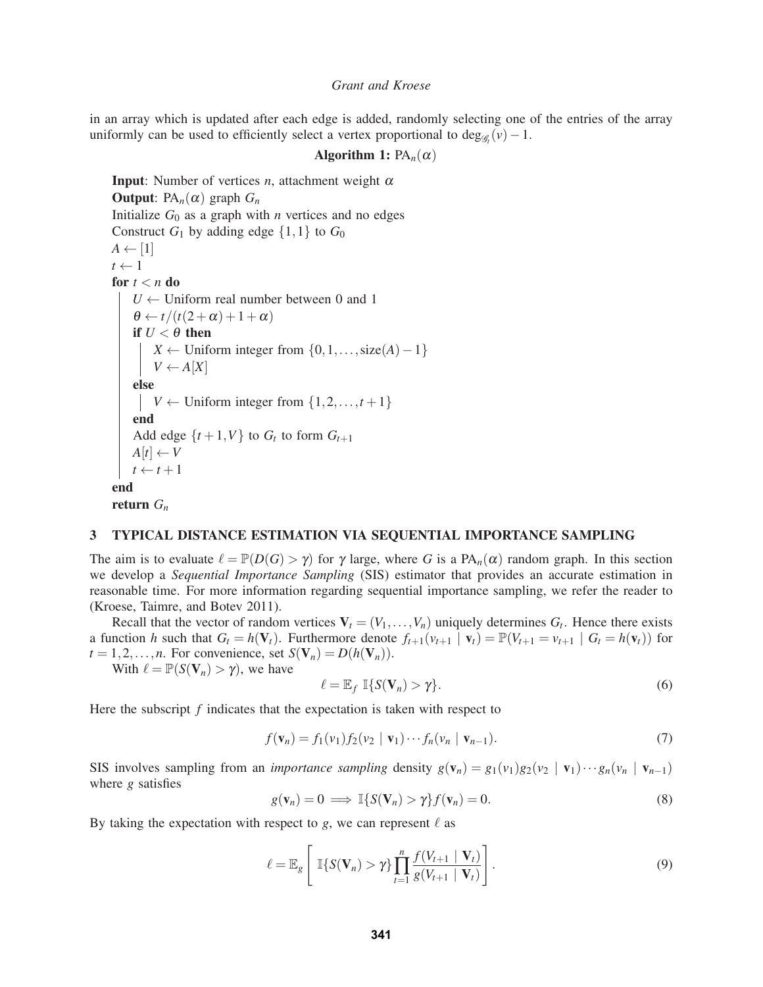in an array which is updated after each edge is added, randomly selecting one of the entries of the array uniformly can be used to efficiently select a vertex proportional to  $deg_{\mathscr{G}_t}(v) - 1$ .

```
Algorithm 1: PA_n(\alpha)
```

```
Input: Number of vertices n, attachment weight \alphaOutput: PA_n(\alpha) graph G_nInitialize G_0 as a graph with n vertices and no edges
Construct G_1 by adding edge \{1,1\} to G_0A \leftarrow [1]t \leftarrow 1for t < n do
   U \leftarrow Uniform real number between 0 and 1
    \theta \leftarrow t/(t(2+\alpha) + 1+\alpha)if U < \theta then
        X ← Uniform integer from \{0, 1, \ldots, \text{size}(A) - 1\}V \leftarrow A[X]else
   V ← Uniform integer from \{1, 2, ..., t+1\}end
    Add edge \{t+1, V\} to G_t to form G_{t+1}A[t] \leftarrow Vt \leftarrow t + 1end
return Gn
```
### 3 TYPICAL DISTANCE ESTIMATION VIA SEQUENTIAL IMPORTANCE SAMPLING

The aim is to evaluate  $\ell = \mathbb{P}(D(G) > \gamma)$  for  $\gamma$  large, where *G* is a PA<sub>n</sub>( $\alpha$ ) random graph. In this section we develop a *Sequential Importance Sampling* (SIS) estimator that provides an accurate estimation in reasonable time. For more information regarding sequential importance sampling, we refer the reader to (Kroese, Taimre, and Botev 2011).

Recall that the vector of random vertices  $V_t = (V_1, \ldots, V_n)$  uniquely determines  $G_t$ . Hence there exists a function *h* such that  $G_t = h(\mathbf{V}_t)$ . Furthermore denote  $f_{t+1}(v_{t+1} | \mathbf{v}_t) = \mathbb{P}(V_{t+1} = v_{t+1} | G_t = h(\mathbf{v}_t))$  for  $t = 1, 2, \ldots, n$ . For convenience, set  $S(\mathbf{V}_n) = D(h(\mathbf{V}_n))$ .

With  $\ell = \mathbb{P}(S(\mathbf{V}_n) > \gamma)$ , we have

$$
\ell = \mathbb{E}_f \, \mathbb{I}\{S(\mathbf{V}_n) > \gamma\}.\tag{6}
$$

Here the subscript *f* indicates that the expectation is taken with respect to

$$
f(\mathbf{v}_n) = f_1(v_1) f_2(v_2 \mid \mathbf{v}_1) \cdots f_n(v_n \mid \mathbf{v}_{n-1}).
$$
\n(7)

SIS involves sampling from an *importance sampling* density  $g(\mathbf{v}_n) = g_1(v_1)g_2(v_2 | \mathbf{v}_1) \cdots g_n(v_n | \mathbf{v}_{n-1})$ where *g* satisfies

$$
g(\mathbf{v}_n) = 0 \implies \mathbb{I}\{S(\mathbf{V}_n) > \gamma\}f(\mathbf{v}_n) = 0. \tag{8}
$$

By taking the expectation with respect to  $g$ , we can represent  $\ell$  as

$$
\ell = \mathbb{E}_g \left[ \mathbb{I}\{S(\mathbf{V}_n) > \gamma\} \prod_{t=1}^n \frac{f(V_{t+1} \mid \mathbf{V}_t)}{g(V_{t+1} \mid \mathbf{V}_t)} \right].
$$
\n(9)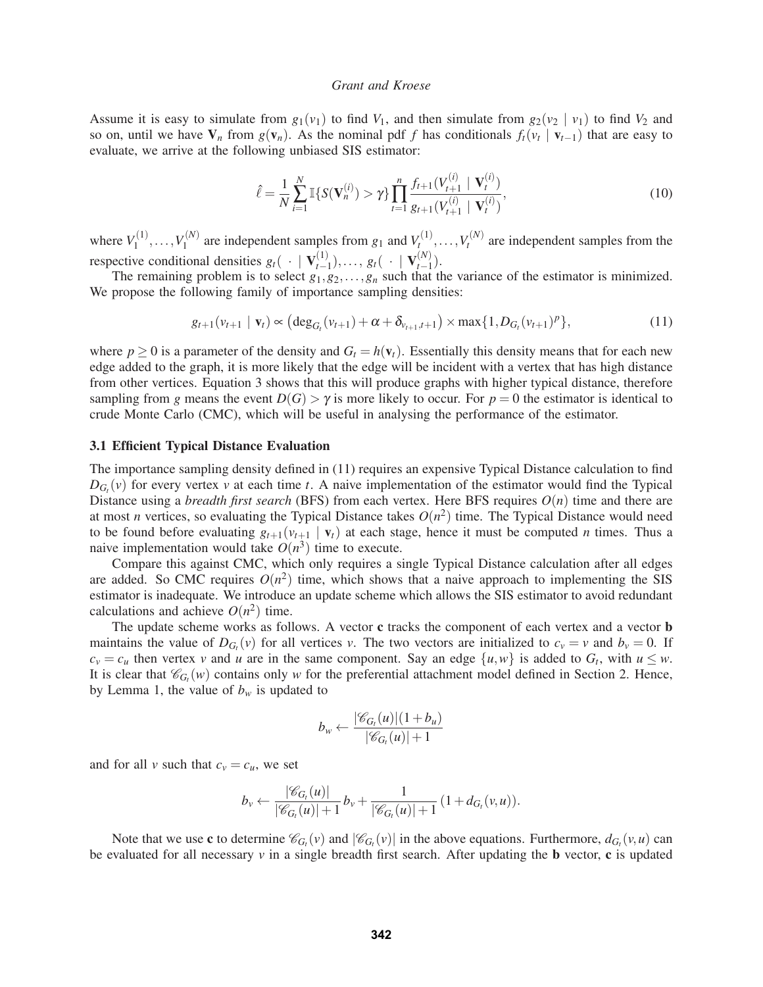Assume it is easy to simulate from  $g_1(v_1)$  to find  $V_1$ , and then simulate from  $g_2(v_2 | v_1)$  to find  $V_2$  and so on, until we have  $V_n$  from  $g(v_n)$ . As the nominal pdf *f* has conditionals  $f_t(v_t | v_{t-1})$  that are easy to evaluate, we arrive at the following unbiased SIS estimator:

$$
\hat{\ell} = \frac{1}{N} \sum_{i=1}^{N} \mathbb{I} \{ S(\mathbf{V}_n^{(i)}) > \gamma \} \prod_{t=1}^{n} \frac{f_{t+1}(V_{t+1}^{(i)} \mid \mathbf{V}_t^{(i)})}{g_{t+1}(V_{t+1}^{(i)} \mid \mathbf{V}_t^{(i)})},
$$
(10)

where  $V_1^{(1)}, \ldots, V_1^{(N)}$  are independent samples from  $g_1$  and  $V_t^{(1)}, \ldots, V_t^{(N)}$  are independent samples from the respective conditional densities  $g_t(\cdot | V_{t-1}^{(1)}), \ldots, g_t(\cdot | V_{t-1}^{(N)})$ .

The remaining problem is to select  $g_1, g_2, \ldots, g_n$  such that the variance of the estimator is minimized. We propose the following family of importance sampling densities:

$$
g_{t+1}(v_{t+1} | \mathbf{v}_t) \propto \left(\deg_{G_t}(v_{t+1}) + \alpha + \delta_{v_{t+1},t+1}\right) \times \max\{1, D_{G_t}(v_{t+1})^p\},\tag{11}
$$

where  $p \ge 0$  is a parameter of the density and  $G_t = h(\mathbf{v}_t)$ . Essentially this density means that for each new edge added to the graph, it is more likely that the edge will be incident with a vertex that has high distance from other vertices. Equation 3 shows that this will produce graphs with higher typical distance, therefore sampling from *g* means the event  $D(G) > \gamma$  is more likely to occur. For  $p = 0$  the estimator is identical to crude Monte Carlo (CMC), which will be useful in analysing the performance of the estimator.

#### 3.1 Efficient Typical Distance Evaluation

The importance sampling density defined in (11) requires an expensive Typical Distance calculation to find  $D_{G_t}(v)$  for every vertex *v* at each time *t*. A naive implementation of the estimator would find the Typical Distance using a *breadth first search* (BFS) from each vertex. Here BFS requires  $O(n)$  time and there are at most *n* vertices, so evaluating the Typical Distance takes  $O(n^2)$  time. The Typical Distance would need to be found before evaluating  $g_{t+1}(v_{t+1} | v_t)$  at each stage, hence it must be computed *n* times. Thus a naive implementation would take  $O(n^3)$  time to execute.

Compare this against CMC, which only requires a single Typical Distance calculation after all edges are added. So CMC requires  $O(n^2)$  time, which shows that a naive approach to implementing the SIS estimator is inadequate. We introduce an update scheme which allows the SIS estimator to avoid redundant calculations and achieve  $O(n^2)$  time.

The update scheme works as follows. A vector c tracks the component of each vertex and a vector **b** maintains the value of  $D_{G_r}(v)$  for all vertices *v*. The two vectors are initialized to  $c_v = v$  and  $b_v = 0$ . If  $c_v = c_u$  then vertex *v* and *u* are in the same component. Say an edge  $\{u, w\}$  is added to  $G_t$ , with  $u \leq w$ . It is clear that  $\mathcal{C}_G(w)$  contains only *w* for the preferential attachment model defined in Section 2. Hence, by Lemma 1, the value of  $b_w$  is updated to

$$
b_w \leftarrow \frac{|\mathscr{C}_{G_t}(u)|(1+b_u)}{|\mathscr{C}_{G_t}(u)|+1}
$$

and for all *v* such that  $c_v = c_u$ , we set

$$
b_{\nu} \leftarrow \frac{|\mathscr{C}_{G_{t}}(u)|}{|\mathscr{C}_{G_{t}}(u)|+1} b_{\nu} + \frac{1}{|\mathscr{C}_{G_{t}}(u)|+1} (1+d_{G_{t}}(\nu, u)).
$$

Note that we use **c** to determine  $\mathcal{C}_{G_t}(v)$  and  $|\mathcal{C}_{G_t}(v)|$  in the above equations. Furthermore,  $d_{G_t}(v, u)$  can be evaluated for all necessary  $\nu$  in a single breadth first search. After updating the **b** vector, **c** is updated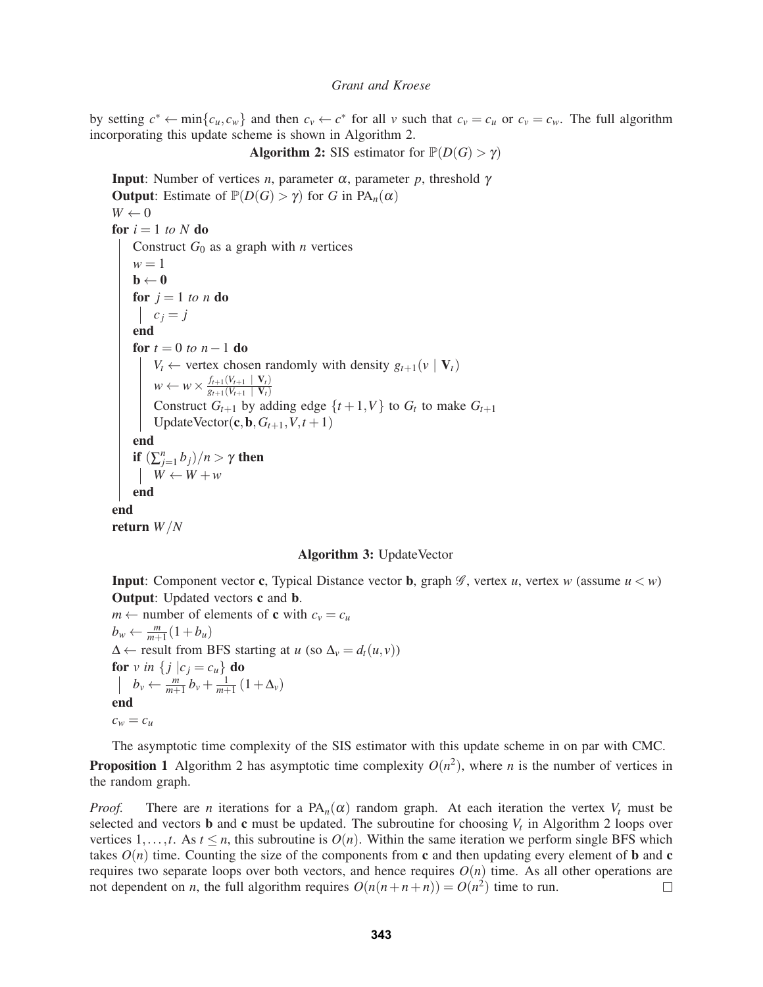by setting  $c^* \leftarrow \min\{c_u, c_w\}$  and then  $c_v \leftarrow c^*$  for all v such that  $c_v = c_u$  or  $c_v = c_w$ . The full algorithm incorporating this update scheme is shown in Algorithm 2.

```
Algorithm 2: SIS estimator for \mathbb{P}(D(G) > \gamma)
```
**Input**: Number of vertices *n*, parameter  $\alpha$ , parameter *p*, threshold γ **Output:** Estimate of  $\mathbb{P}(D(G) > \gamma)$  for *G* in PA<sub>n</sub>( $\alpha$ )  $W \leftarrow 0$ for  $i = 1$  *to*  $N$  do Construct  $G_0$  as a graph with *n* vertices  $w = 1$  $\mathbf{b} \leftarrow \mathbf{0}$ for  $j = 1$  *to n* do  $c_j = j$ end for  $t = 0$  *to*  $n - 1$  do *V<sub>t</sub>* ← vertex chosen randomly with density  $g_{t+1}(v | V_t)$  $w \leftarrow w \times \frac{f_{t+1}(V_{t+1} \mid \mathbf{V}_t)}{g_{t+1}(V_{t+1} \mid \mathbf{V}_t)}$ Construct  $G_{t+1}$  by adding edge  $\{t+1, V\}$  to  $G_t$  to make  $G_{t+1}$ UpdateVector( $\mathbf{c}, \mathbf{b}, G_{t+1}, V, t+1$ ) end if  $\left(\sum_{j=1}^n b_j\right)/n > \gamma$  then  $W \leftarrow W + w$ end end return *W*/*N*

# Algorithm 3: UpdateVector

**Input:** Component vector **c**, Typical Distance vector **b**, graph  $\mathscr G$ , vertex *u*, vertex *w* (assume  $u < w$ ) Output: Updated vectors c and b.

```
m \leftarrow number of elements of c with c_v = c_ub_w \leftarrow \frac{m}{m+1}(1+b_u)\Delta \leftarrow result from BFS starting at u (so \Delta_v = d_t(u, v))
for v in \{ j | c_j = c_u \} do
      b_v \leftarrow \frac{m}{m+1} b_v + \frac{1}{m+1} (1 + \Delta_v)end
c_w = c_u
```
The asymptotic time complexity of the SIS estimator with this update scheme in on par with CMC. **Proposition 1** Algorithm 2 has asymptotic time complexity  $O(n^2)$ , where *n* is the number of vertices in the random graph.

*Proof.* There are *n* iterations for a  $PA_n(\alpha)$  random graph. At each iteration the vertex  $V_t$  must be selected and vectors **b** and **c** must be updated. The subroutine for choosing  $V_t$  in Algorithm 2 loops over vertices 1,...,*t*. As  $t \leq n$ , this subroutine is  $O(n)$ . Within the same iteration we perform single BFS which takes  $O(n)$  time. Counting the size of the components from c and then updating every element of **b** and c requires two separate loops over both vectors, and hence requires  $O(n)$  time. As all other operations are not dependent on *n*, the full algorithm requires  $O(n(n+n+n)) = O(n^2)$  time to run.  $\Box$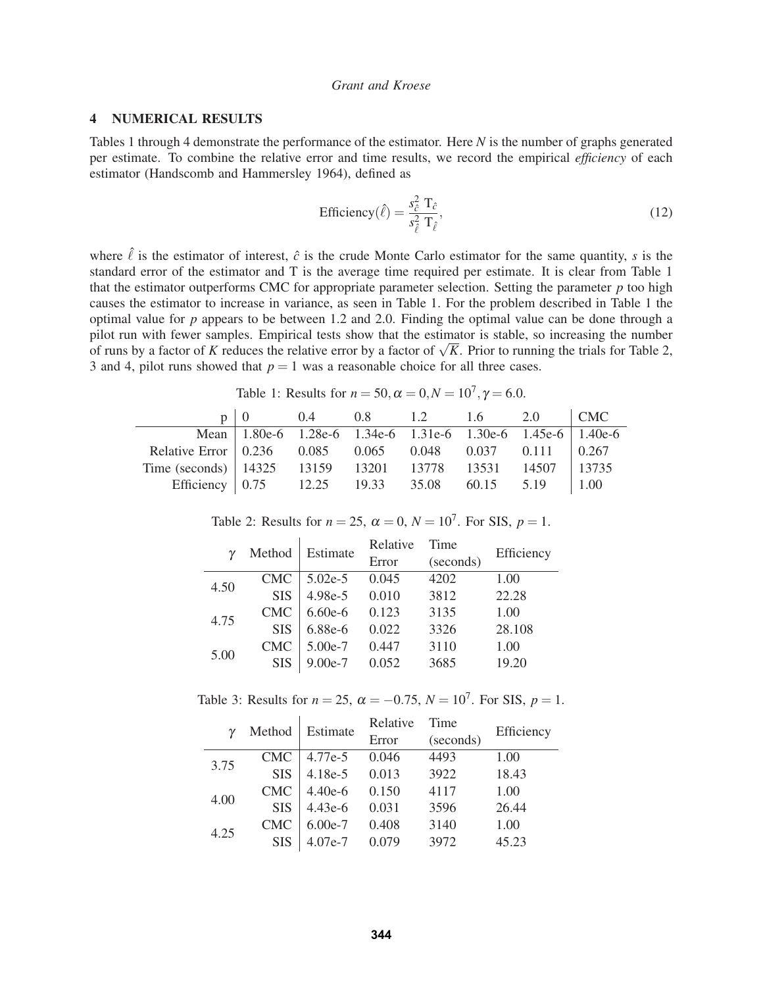### 4 NUMERICAL RESULTS

Tables 1 through 4 demonstrate the performance of the estimator. Here *N* is the number of graphs generated per estimate. To combine the relative error and time results, we record the empirical *efficiency* of each estimator (Handscomb and Hammersley 1964), defined as

Efficiency
$$
(\hat{\ell}) = \frac{s_{\hat{\ell}}^2 \mathrm{T}_{\hat{\ell}}}{s_{\hat{\ell}}^2 \mathrm{T}_{\hat{\ell}}},\tag{12}
$$

where  $\hat{\ell}$  is the estimator of interest,  $\hat{c}$  is the crude Monte Carlo estimator for the same quantity, *s* is the standard error of the estimator and T is the average time required per estimate. It is clear from Table 1 that the estimator outperforms CMC for appropriate parameter selection. Setting the parameter *p* too high causes the estimator to increase in variance, as seen in Table 1. For the problem described in Table 1 the optimal value for *p* appears to be between 1.2 and 2.0. Finding the optimal value can be done through a pilot run with fewer samples. Empirical tests show that the estimator is stable, so increasing the number of runs by a factor of *K* reduces the relative error by a factor of  $\sqrt{K}$ . Prior to running the trials for Table 2, 3 and 4, pilot runs showed that  $p = 1$  was a reasonable choice for all three cases.

Table 1: Results for  $n = 50$ ,  $\alpha = 0$ ,  $N = 10^7$ ,  $\gamma = 6.0$ .

|                                                              | $\begin{array}{cccccc} 0 & 0.4 & 0.8 & 1.2 & 1.6 & 2.0 \end{array}$ |  |            | $\overline{\phantom{a}}$ CMC |
|--------------------------------------------------------------|---------------------------------------------------------------------|--|------------|------------------------------|
|                                                              | Mean   1.80e-6 1.28e-6 1.34e-6 1.31e-6 1.30e-6 1.45e-6   1.40e-6    |  |            |                              |
| Relative Error   0.236 0.085 0.065 0.048 0.037 0.111   0.267 |                                                                     |  |            |                              |
| Time (seconds) 14325 13159 13201 13778 13531 14507 13735     |                                                                     |  |            |                              |
| Efficiency 0.75 12.25 19.33 35.08                            |                                                                     |  | 60.15 5.19 | 1.00                         |

Table 2: Results for  $n = 25$ ,  $\alpha = 0$ ,  $N = 10^7$ . For SIS,  $p = 1$ .

| $\gamma$ | Method     | Estimate  | Relative | Time      | Efficiency |
|----------|------------|-----------|----------|-----------|------------|
|          |            |           | Error    | (seconds) |            |
| 4.50     | <b>CMC</b> | $5.02e-5$ | 0.045    | 4202      | 1.00       |
|          | <b>SIS</b> | 4.98e-5   | 0.010    | 3812      | 22.28      |
| 4.75     | <b>CMC</b> | $6.60e-6$ | 0.123    | 3135      | 1.00       |
|          | <b>SIS</b> | 6.88e-6   | 0.022    | 3326      | 28.108     |
| 5.00     | <b>CMC</b> | 5.00e-7   | 0.447    | 3110      | 1.00       |
|          | <b>SIS</b> | $9.00e-7$ | 0.052    | 3685      | 19.20      |

Table 3: Results for  $n = 25$ ,  $\alpha = -0.75$ ,  $N = 10^7$ . For SIS,  $p = 1$ .

| $\gamma$ | Method     | Estimate  | Relative | Time      | Efficiency |
|----------|------------|-----------|----------|-----------|------------|
|          |            |           | Error    | (seconds) |            |
| 3.75     | <b>CMC</b> | 4.77e-5   | 0.046    | 4493      | 1.00       |
|          | <b>SIS</b> | $4.18e-5$ | 0.013    | 3922      | 18.43      |
| 4.00     | <b>CMC</b> | $4.40e-6$ | 0.150    | 4117      | 1.00       |
|          | <b>SIS</b> | $4.43e-6$ | 0.031    | 3596      | 26.44      |
| 4.25     | <b>CMC</b> | $6.00e-7$ | 0.408    | 3140      | 1.00       |
|          | <b>SIS</b> | 4.07e-7   | 0.079    | 3972      | 45.23      |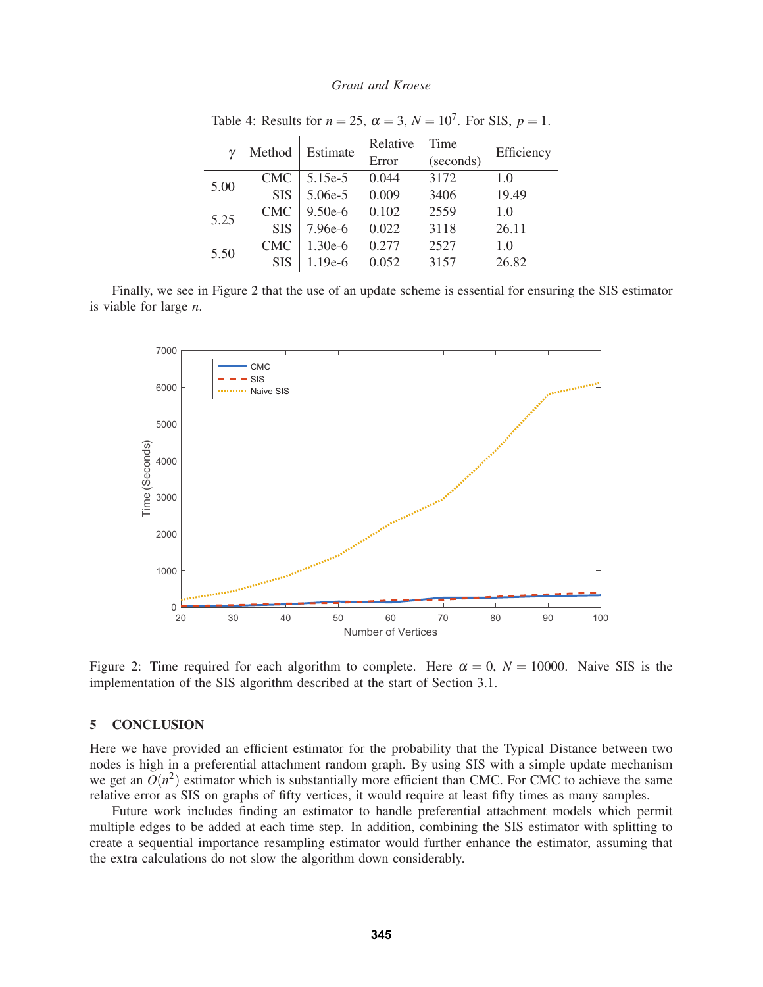|      | Method     | Estimate  | Relative | Time      | Efficiency |
|------|------------|-----------|----------|-----------|------------|
|      |            |           | Error    | (seconds) |            |
| 5.00 | <b>CMC</b> | $5.15e-5$ | 0.044    | 3172      | 1.0        |
|      | <b>SIS</b> | $5.06e-5$ | 0.009    | 3406      | 19.49      |
| 5.25 | <b>CMC</b> | $9.50e-6$ | 0.102    | 2559      | 1.0        |
|      | <b>SIS</b> | 7.96e-6   | 0.022    | 3118      | 26.11      |
| 5.50 | <b>CMC</b> | $1.30e-6$ | 0.277    | 2527      | 1.0        |
|      | <b>SIS</b> | $1.19e-6$ | 0.052    | 3157      | 26.82      |

Table 4: Results for  $n = 25$ ,  $\alpha = 3$ ,  $N = 10^7$ . For SIS,  $p = 1$ .

Finally, we see in Figure 2 that the use of an update scheme is essential for ensuring the SIS estimator is viable for large *n*.



Figure 2: Time required for each algorithm to complete. Here  $\alpha = 0$ ,  $N = 10000$ . Naive SIS is the implementation of the SIS algorithm described at the start of Section 3.1.

#### 5 CONCLUSION

Here we have provided an efficient estimator for the probability that the Typical Distance between two nodes is high in a preferential attachment random graph. By using SIS with a simple update mechanism we get an  $O(n^2)$  estimator which is substantially more efficient than CMC. For CMC to achieve the same relative error as SIS on graphs of fifty vertices, it would require at least fifty times as many samples.

Future work includes finding an estimator to handle preferential attachment models which permit multiple edges to be added at each time step. In addition, combining the SIS estimator with splitting to create a sequential importance resampling estimator would further enhance the estimator, assuming that the extra calculations do not slow the algorithm down considerably.